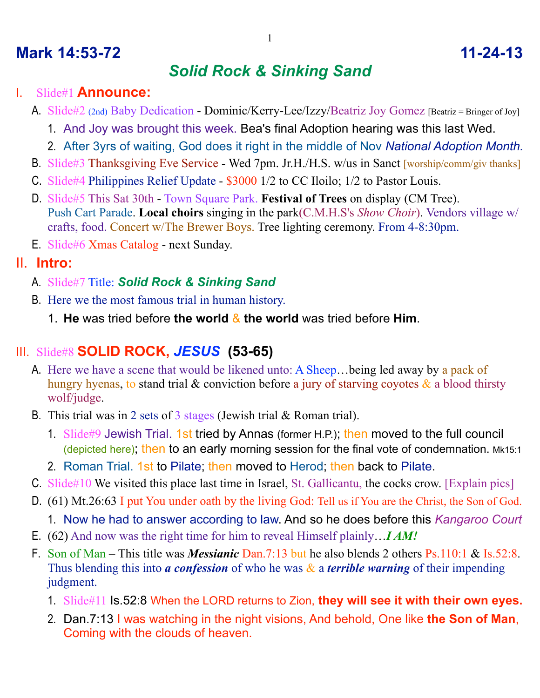### **Mark 14:53-72 11-24-13**

# *Solid Rock & Sinking Sand*

#### I. Slide#1 **Announce:**

- A. Slide#2 (2nd) Baby Dedication Dominic/Kerry-Lee/Izzy/Beatriz Joy Gomez [Beatriz = Bringer of Joy]
	- 1. And Joy was brought this week. Bea's final Adoption hearing was this last Wed.
	- 2. After 3yrs of waiting, God does it right in the middle of Nov *National Adoption Month.*
- B. Slide#3 Thanksgiving Eve Service Wed 7pm. Jr.H./H.S. w/us in Sanct [worship/comm/giv thanks]
- C. Slide#4 Philippines Relief Update \$3000 1/2 to CC Iloilo; 1/2 to Pastor Louis.
- D. Slide#5 This Sat 30th Town Square Park. **Festival of Trees** on display (CM Tree). Push Cart Parade. **Local choirs** singing in the park(C.M.H.S's *Show Choir*). Vendors village w/ crafts, food. Concert w/The Brewer Boys. Tree lighting ceremony. From 4-8:30pm.
- E. Slide#6 Xmas Catalog next Sunday.

### II. **Intro:**

- A. Slide#7 Title: *Solid Rock & Sinking Sand*
- B. Here we the most famous trial in human history.
	- 1. **He** was tried before **the world** & **the world** was tried before **Him**.

### III. Slide#8 **SOLID ROCK,** *JESUS* **(53-65)**

- A. Here we have a scene that would be likened unto: A Sheep...being led away by a pack of hungry hyenas, to stand trial  $\&$  conviction before a jury of starving coyotes  $\&$  a blood thirsty wolf/judge.
- B. This trial was in 2 sets of 3 stages (Jewish trial & Roman trial).
	- 1. Slide#9 Jewish Trial. 1st tried by Annas (former H.P.); then moved to the full council (depicted here); then to an early morning session for the final vote of condemnation. Mk15:1
	- 2. Roman Trial. 1st to Pilate; then moved to Herod; then back to Pilate.
- C. Slide#10 We visited this place last time in Israel, St. Gallicantu, the cocks crow. [Explain pics]
- D. (61) Mt.26:63 I put You under oath by the living God: Tell us if You are the Christ, the Son of God.
	- 1. Now he had to answer according to law. And so he does before this *Kangaroo Court*
- E. (62) And now was the right time for him to reveal Himself plainly…*I AM!*
- F. Son of Man This title was *Messianic* Dan.7:13 but he also blends 2 others Ps.110:1 & Is.52:8. Thus blending this into *a confession* of who he was & a *terrible warning* of their impending judgment.
	- 1. Slide#11 Is.52:8 When the LORD returns to Zion, **they will see it with their own eyes.**
	- 2. Dan.7:13 I was watching in the night visions, And behold, One like **the Son of Man**, Coming with the clouds of heaven.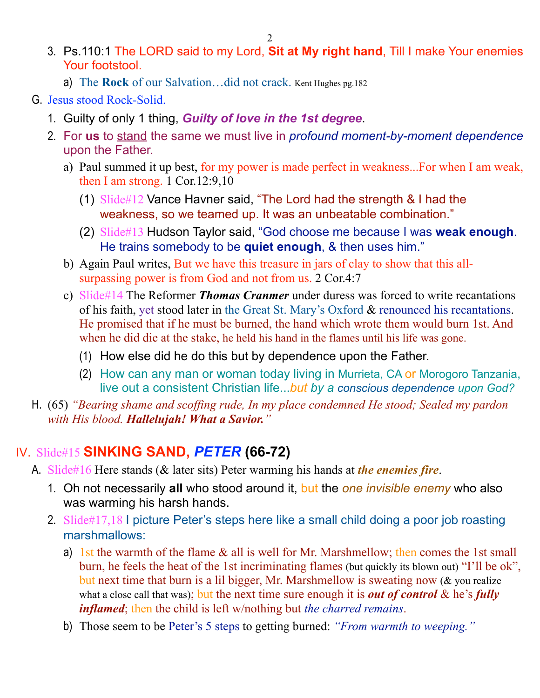- 3. Ps.110:1 The LORD said to my Lord, **Sit at My right hand**, Till I make Your enemies Your footstool.
	- a) The **Rock** of our Salvation…did not crack. Kent Hughes pg.182
- G. Jesus stood Rock-Solid.
	- 1. Guilty of only 1 thing, *Guilty of love in the 1st degree*.
	- 2. For **us** to stand the same we must live in *profound moment-by-moment dependence*  upon the Father.
		- a) Paul summed it up best, for my power is made perfect in weakness...For when I am weak, then I am strong. 1 Cor.12:9,10
			- (1) Slide#12 Vance Havner said, "The Lord had the strength & I had the weakness, so we teamed up. It was an unbeatable combination."
			- (2) Slide#13 Hudson Taylor said, "God choose me because I was **weak enough**. He trains somebody to be **quiet enough**, & then uses him."
		- b) Again Paul writes, But we have this treasure in jars of clay to show that this allsurpassing power is from God and not from us. 2 Cor.4:7
		- c) Slide#14 The Reformer *Thomas Cranmer* under duress was forced to write recantations of his faith, yet stood later in the Great St. Mary's Oxford & renounced his recantations. He promised that if he must be burned, the hand which wrote them would burn 1st. And when he did die at the stake, he held his hand in the flames until his life was gone.
			- (1) How else did he do this but by dependence upon the Father.
			- (2) How can any man or woman today living in Murrieta, CA or Morogoro Tanzania, live out a consistent Christian life...*but by a conscious dependence upon God?*
- H. (65) *"Bearing shame and scoffing rude, In my place condemned He stood; Sealed my pardon with His blood. Hallelujah! What a Savior."*

## IV. Slide#15 **SINKING SAND,** *PETER* **(66-72)**

- A. Slide#16 Here stands (& later sits) Peter warming his hands at *the enemies fire*.
	- 1. Oh not necessarily **all** who stood around it, but the *one invisible enemy* who also was warming his harsh hands.
	- 2. Slide#17,18 I picture Peter's steps here like a small child doing a poor job roasting marshmallows:
		- a) 1st the warmth of the flame & all is well for Mr. Marshmellow; then comes the 1st small burn, he feels the heat of the 1st incriminating flames (but quickly its blown out) "I'll be ok", but next time that burn is a lil bigger, Mr. Marshmellow is sweating now (& you realize what a close call that was); but the next time sure enough it is *out of control* & he's *fully inflamed*; then the child is left w/nothing but *the charred remains*.
		- b) Those seem to be Peter's 5 steps to getting burned: *"From warmth to weeping."*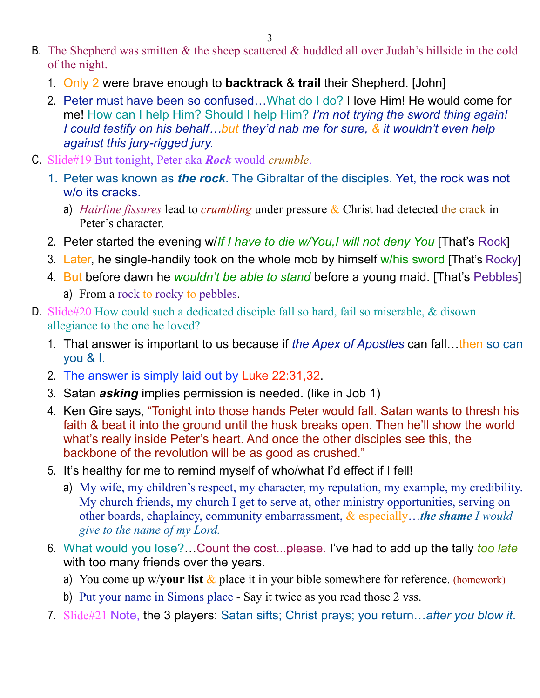- B. The Shepherd was smitten  $\&$  the sheep scattered  $\&$  huddled all over Judah's hillside in the cold of the night.
	- 1. Only 2 were brave enough to **backtrack** & **trail** their Shepherd. [John]
	- 2. Peter must have been so confused…What do I do? I love Him! He would come for me! How can I help Him? Should I help Him? *I'm not trying the sword thing again! I could testify on his behalf…but they'd nab me for sure, & it wouldn't even help against this jury-rigged jury.*
- C. Slide#19 But tonight, Peter aka *Rock* would *crumble*.
	- 1. Peter was known as *the rock*. The Gibraltar of the disciples. Yet, the rock was not w/o its cracks.
		- a) *Hairline fissures* lead to *crumbling* under pressure & Christ had detected the crack in Peter's character.
	- 2. Peter started the evening w/*If I have to die w/You,I will not deny You* [That's Rock]
	- 3. Later, he single-handily took on the whole mob by himself w/his sword [That's Rocky]
	- 4. But before dawn he *wouldn't be able to stand* before a young maid. [That's Pebbles] a) From a rock to rocky to pebbles.
- D. Slide#20 How could such a dedicated disciple fall so hard, fail so miserable, & disown allegiance to the one he loved?
	- 1. That answer is important to us because if *the Apex of Apostles* can fall…then so can you & I.
	- 2. The answer is simply laid out by Luke 22:31,32.
	- 3. Satan *asking* implies permission is needed. (like in Job 1)
	- 4. Ken Gire says, "Tonight into those hands Peter would fall. Satan wants to thresh his faith & beat it into the ground until the husk breaks open. Then he'll show the world what's really inside Peter's heart. And once the other disciples see this, the backbone of the revolution will be as good as crushed."
	- 5. It's healthy for me to remind myself of who/what I'd effect if I fell!
		- a) My wife, my children's respect, my character, my reputation, my example, my credibility. My church friends, my church I get to serve at, other ministry opportunities, serving on other boards, chaplaincy, community embarrassment, & especially…*the shame I would give to the name of my Lord.*
	- 6. What would you lose?…Count the cost...please. I've had to add up the tally *too late*  with too many friends over the years.
		- a) You come up w/**your list** & place it in your bible somewhere for reference. (homework)
		- b) Put your name in Simons place Say it twice as you read those 2 vss.
	- 7. Slide#21 Note, the 3 players: Satan sifts; Christ prays; you return…*after you blow it*.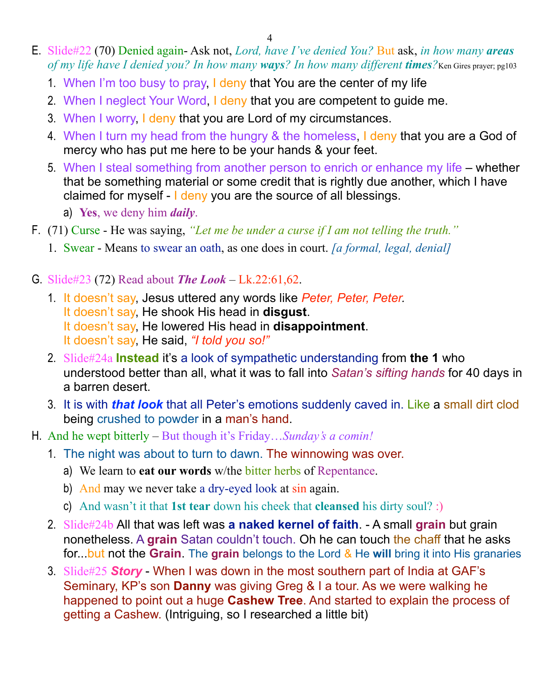4

- E. Slide#22 (70) Denied again- Ask not, *Lord, have I've denied You?* But ask, *in how many areas of my life have I denied you? In how many ways? In how many different times?*Ken Gires prayer; pg103
	- 1. When I'm too busy to pray, I deny that You are the center of my life
	- 2. When I neglect Your Word, I deny that you are competent to guide me.
	- 3. When I worry, I deny that you are Lord of my circumstances.
	- 4. When I turn my head from the hungry & the homeless, I deny that you are a God of mercy who has put me here to be your hands & your feet.
	- 5. When I steal something from another person to enrich or enhance my life whether that be something material or some credit that is rightly due another, which I have claimed for myself - I deny you are the source of all blessings.
		- a) **Yes**, we deny him *daily*.
- F. (71) Curse He was saying, *"Let me be under a curse if I am not telling the truth."*
	- 1. Swear Means to swear an oath, as one does in court. *[a formal, legal, denial]*
- G. Slide#23 (72) Read about *The Look*  Lk.22:61,62.
	- 1. It doesn't say, Jesus uttered any words like *Peter, Peter, Peter.* It doesn't say, He shook His head in **disgust**. It doesn't say, He lowered His head in **disappointment**. It doesn't say, He said, *"I told you so!"*
	- 2. Slide#24a **Instead** it's a look of sympathetic understanding from **the 1** who understood better than all, what it was to fall into *Satan's sifting hands* for 40 days in a barren desert.
	- 3. It is with *that look* that all Peter's emotions suddenly caved in. Like a small dirt clod being crushed to powder in a man's hand.
- H. And he wept bitterly But though it's Friday…*Sunday's a comin!*
	- 1. The night was about to turn to dawn. The winnowing was over.
		- a) We learn to **eat our words** w/the bitter herbs of Repentance.
		- b) And may we never take a dry-eyed look at sin again.
		- c) And wasn't it that **1st tear** down his cheek that **cleansed** his dirty soul? :)
	- 2. Slide#24b All that was left was **a naked kernel of faith**. A small **grain** but grain nonetheless. A **grain** Satan couldn't touch. Oh he can touch the chaff that he asks for...but not the **Grain**. The **grain** belongs to the Lord & He **will** bring it into His granaries
	- 3. Slide#25 *Story* When I was down in the most southern part of India at GAF's Seminary, KP's son **Danny** was giving Greg & I a tour. As we were walking he happened to point out a huge **Cashew Tree**. And started to explain the process of getting a Cashew. (Intriguing, so I researched a little bit)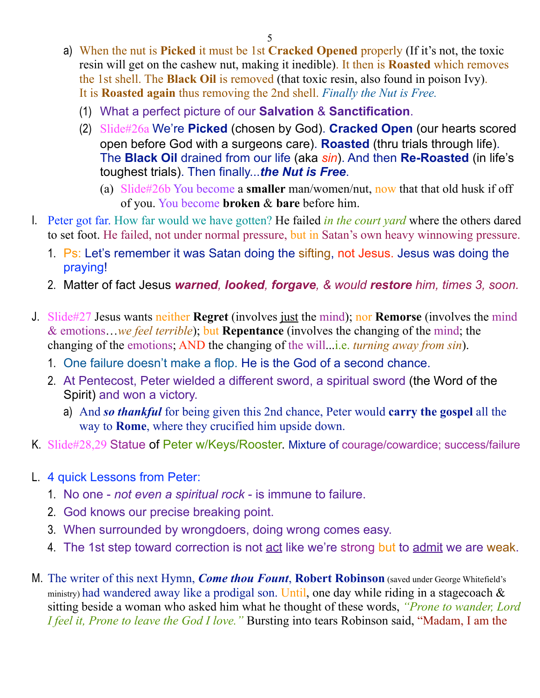- a) When the nut is **Picked** it must be 1st **Cracked Opened** properly (If it's not, the toxic resin will get on the cashew nut, making it inedible). It then is **Roasted** which removes the 1st shell. The **Black Oil** is removed (that toxic resin, also found in poison Ivy). It is **Roasted again** thus removing the 2nd shell. *Finally the Nut is Free.* 
	- (1) What a perfect picture of our **Salvation** & **Sanctification**.
	- (2) Slide#26a We're **Picked** (chosen by God). **Cracked Open** (our hearts scored open before God with a surgeons care). **Roasted** (thru trials through life). The **Black Oil** drained from our life (aka *sin*). And then **Re-Roasted** (in life's toughest trials). Then finally...*the Nut is Free*.
		- (a) Slide#26b You become a **smaller** man/women/nut, now that that old husk if off of you. You become **broken** & **bare** before him.
- I. Peter got far. How far would we have gotten? He failed *in the court yard* where the others dared to set foot. He failed, not under normal pressure, but in Satan's own heavy winnowing pressure.
	- 1. Ps: Let's remember it was Satan doing the sifting, not Jesus. Jesus was doing the praying!
	- 2. Matter of fact Jesus *warned, looked, forgave, & would restore him, times 3, soon.*
- J. Slide#27 Jesus wants neither **Regret** (involves just the mind); nor **Remorse** (involves the mind & emotions…*we feel terrible*); but **Repentance** (involves the changing of the mind; the changing of the emotions; AND the changing of the will...i.e. *turning away from sin*).
	- 1. One failure doesn't make a flop. He is the God of a second chance.
	- 2. At Pentecost, Peter wielded a different sword, a spiritual sword (the Word of the Spirit) and won a victory.
		- a) And *so thankful* for being given this 2nd chance, Peter would **carry the gospel** all the way to **Rome**, where they crucified him upside down.
- K. Slide#28,29 Statue of Peter w/Keys/Rooster. Mixture of courage/cowardice; success/failure
- L. 4 quick Lessons from Peter:
	- 1. No one *not even a spiritual rock* is immune to failure.
	- 2. God knows our precise breaking point.
	- 3. When surrounded by wrongdoers, doing wrong comes easy.
	- 4. The 1st step toward correction is not act like we're strong but to admit we are weak.
- M. The writer of this next Hymn, *Come thou Fount*, **Robert Robinson** (saved under George Whitefield's ministry) had wandered away like a prodigal son. Until, one day while riding in a stagecoach  $\&$ sitting beside a woman who asked him what he thought of these words, *"Prone to wander, Lord I feel it, Prone to leave the God I love."* Bursting into tears Robinson said, "Madam, I am the